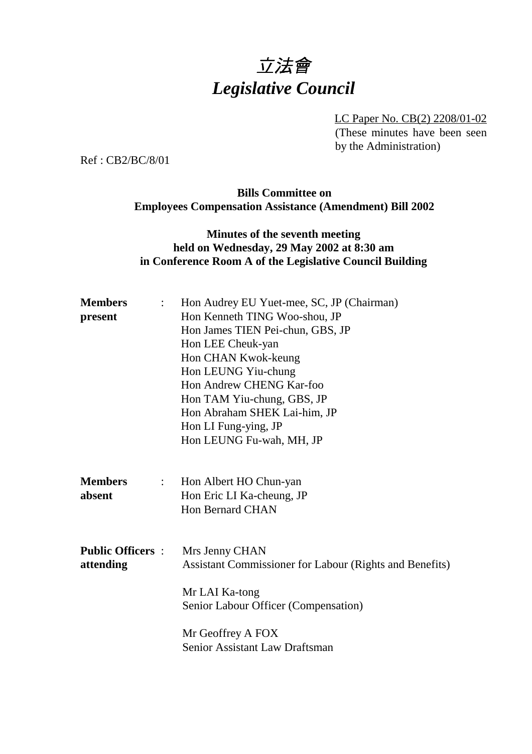# 立法會 *Legislative Council*

LC Paper No. CB(2) 2208/01-02 (These minutes have been seen by the Administration)

Ref : CB2/BC/8/01

### **Bills Committee on Employees Compensation Assistance (Amendment) Bill 2002**

## **Minutes of the seventh meeting held on Wednesday, 29 May 2002 at 8:30 am in Conference Room A of the Legislative Council Building**

| <b>Members</b><br>$\mathbb{R}^{\mathbb{Z}}$           | Hon Audrey EU Yuet-mee, SC, JP (Chairman)               |
|-------------------------------------------------------|---------------------------------------------------------|
| present                                               | Hon Kenneth TING Woo-shou, JP                           |
|                                                       | Hon James TIEN Pei-chun, GBS, JP                        |
|                                                       | Hon LEE Cheuk-yan                                       |
|                                                       | Hon CHAN Kwok-keung                                     |
|                                                       | Hon LEUNG Yiu-chung                                     |
|                                                       | Hon Andrew CHENG Kar-foo                                |
|                                                       | Hon TAM Yiu-chung, GBS, JP                              |
|                                                       | Hon Abraham SHEK Lai-him, JP                            |
|                                                       | Hon LI Fung-ying, JP                                    |
|                                                       | Hon LEUNG Fu-wah, MH, JP                                |
| <b>Members</b><br>$\mathbb{Z}^{\mathbb{Z}}$<br>absent | Hon Albert HO Chun-yan<br>Hon Eric LI Ka-cheung, JP     |
| <b>Public Officers :</b>                              | <b>Hon Bernard CHAN</b><br>Mrs Jenny CHAN               |
| attending                                             | Assistant Commissioner for Labour (Rights and Benefits) |
|                                                       | Mr LAI Ka-tong                                          |
|                                                       | Senior Labour Officer (Compensation)                    |
|                                                       | Mr Geoffrey A FOX                                       |
|                                                       | <b>Senior Assistant Law Draftsman</b>                   |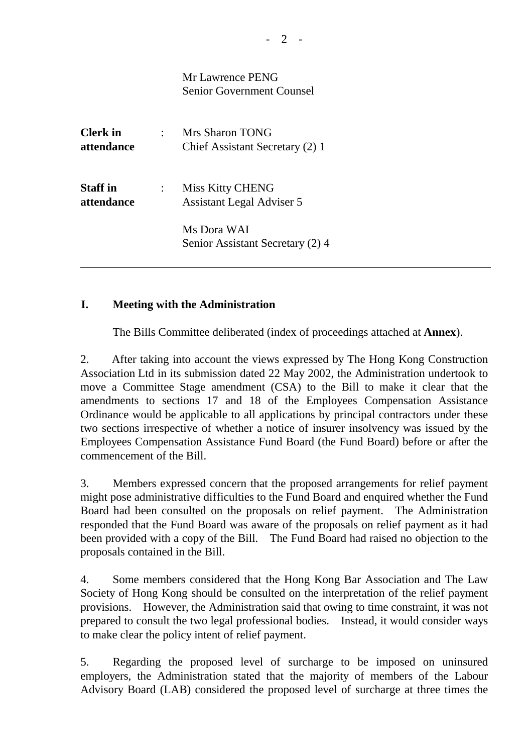|                               | Mr Lawrence PENG<br><b>Senior Government Counsel</b>        |
|-------------------------------|-------------------------------------------------------------|
| <b>Clerk</b> in<br>attendance | <b>Mrs Sharon TONG</b><br>Chief Assistant Secretary (2) 1   |
| <b>Staff</b> in<br>attendance | <b>Miss Kitty CHENG</b><br><b>Assistant Legal Adviser 5</b> |
|                               | Ms Dora WAI<br>Senior Assistant Secretary (2) 4             |

#### **I. Meeting with the Administration**

The Bills Committee deliberated (index of proceedings attached at **Annex**).

2. After taking into account the views expressed by The Hong Kong Construction Association Ltd in its submission dated 22 May 2002, the Administration undertook to move a Committee Stage amendment (CSA) to the Bill to make it clear that the amendments to sections 17 and 18 of the Employees Compensation Assistance Ordinance would be applicable to all applications by principal contractors under these two sections irrespective of whether a notice of insurer insolvency was issued by the Employees Compensation Assistance Fund Board (the Fund Board) before or after the commencement of the Bill.

3. Members expressed concern that the proposed arrangements for relief payment might pose administrative difficulties to the Fund Board and enquired whether the Fund Board had been consulted on the proposals on relief payment. The Administration responded that the Fund Board was aware of the proposals on relief payment as it had been provided with a copy of the Bill. The Fund Board had raised no objection to the proposals contained in the Bill.

4. Some members considered that the Hong Kong Bar Association and The Law Society of Hong Kong should be consulted on the interpretation of the relief payment provisions. However, the Administration said that owing to time constraint, it was not prepared to consult the two legal professional bodies. Instead, it would consider ways to make clear the policy intent of relief payment.

5. Regarding the proposed level of surcharge to be imposed on uninsured employers, the Administration stated that the majority of members of the Labour Advisory Board (LAB) considered the proposed level of surcharge at three times the

 $2 -$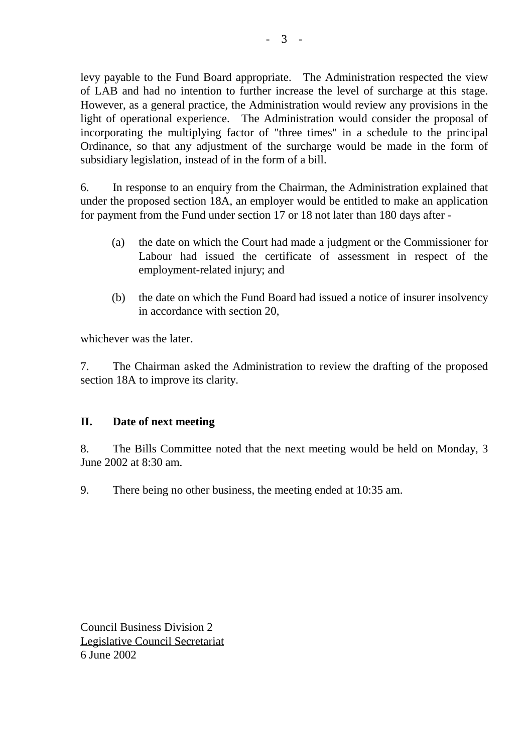levy payable to the Fund Board appropriate. The Administration respected the view of LAB and had no intention to further increase the level of surcharge at this stage. However, as a general practice, the Administration would review any provisions in the light of operational experience. The Administration would consider the proposal of incorporating the multiplying factor of "three times" in a schedule to the principal Ordinance, so that any adjustment of the surcharge would be made in the form of subsidiary legislation, instead of in the form of a bill.

6. In response to an enquiry from the Chairman, the Administration explained that under the proposed section 18A, an employer would be entitled to make an application for payment from the Fund under section 17 or 18 not later than 180 days after -

- (a) the date on which the Court had made a judgment or the Commissioner for Labour had issued the certificate of assessment in respect of the employment-related injury; and
- (b) the date on which the Fund Board had issued a notice of insurer insolvency in accordance with section 20,

whichever was the later.

7. The Chairman asked the Administration to review the drafting of the proposed section 18A to improve its clarity.

#### **II. Date of next meeting**

8. The Bills Committee noted that the next meeting would be held on Monday, 3 June 2002 at 8:30 am.

9. There being no other business, the meeting ended at 10:35 am.

Council Business Division 2 Legislative Council Secretariat 6 June 2002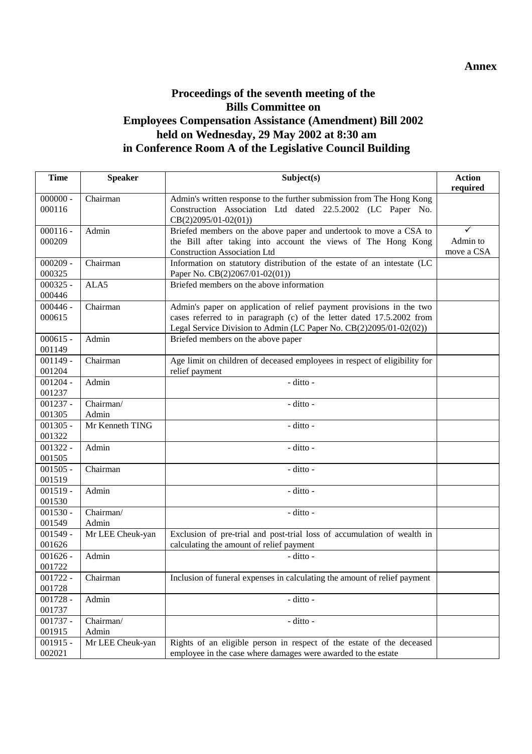## **Proceedings of the seventh meeting of the Bills Committee on Employees Compensation Assistance (Amendment) Bill 2002 held on Wednesday, 29 May 2002 at 8:30 am in Conference Room A of the Legislative Council Building**

| <b>Time</b> | <b>Speaker</b>   | Subject(s)                                                                | <b>Action</b> |
|-------------|------------------|---------------------------------------------------------------------------|---------------|
|             |                  |                                                                           | required      |
| $000000 -$  | Chairman         | Admin's written response to the further submission from The Hong Kong     |               |
| 000116      |                  | Construction Association Ltd dated 22.5.2002 (LC Paper No.                |               |
|             |                  | $CB(2)2095/01-02(01))$                                                    |               |
| $000116 -$  | Admin            | Briefed members on the above paper and undertook to move a CSA to         | ✓             |
| 000209      |                  | the Bill after taking into account the views of The Hong Kong             | Admin to      |
|             |                  | <b>Construction Association Ltd</b>                                       | move a CSA    |
| $000209 -$  | Chairman         | Information on statutory distribution of the estate of an intestate (LC   |               |
| 000325      |                  | Paper No. CB(2)2067/01-02(01))                                            |               |
| $000325 -$  | ALA5             | Briefed members on the above information                                  |               |
| 000446      |                  |                                                                           |               |
| $000446 -$  | Chairman         | Admin's paper on application of relief payment provisions in the two      |               |
| 000615      |                  | cases referred to in paragraph (c) of the letter dated 17.5.2002 from     |               |
|             |                  | Legal Service Division to Admin (LC Paper No. CB(2)2095/01-02(02))        |               |
| $000615 -$  | Admin            | Briefed members on the above paper                                        |               |
| 001149      |                  |                                                                           |               |
| $001149 -$  | Chairman         | Age limit on children of deceased employees in respect of eligibility for |               |
| 001204      |                  | relief payment                                                            |               |
| $001204 -$  | Admin            | - ditto -                                                                 |               |
| 001237      |                  |                                                                           |               |
| $001237 -$  | Chairman/        | - ditto -                                                                 |               |
| 001305      | Admin            |                                                                           |               |
| $001305 -$  | Mr Kenneth TING  | - ditto -                                                                 |               |
| 001322      |                  |                                                                           |               |
| $001322 -$  | Admin            | - ditto -                                                                 |               |
| 001505      |                  |                                                                           |               |
| $001505 -$  | Chairman         | - ditto -                                                                 |               |
| 001519      |                  |                                                                           |               |
| $001519 -$  | Admin            | - ditto -                                                                 |               |
| 001530      |                  |                                                                           |               |
| $001530 -$  | Chairman/        | - ditto -                                                                 |               |
| 001549      | Admin            |                                                                           |               |
| $001549 -$  | Mr LEE Cheuk-yan | Exclusion of pre-trial and post-trial loss of accumulation of wealth in   |               |
| 001626      |                  | calculating the amount of relief payment                                  |               |
| $001626 -$  | Admin            | - ditto -                                                                 |               |
| 001722      |                  |                                                                           |               |
| $001722 -$  | Chairman         | Inclusion of funeral expenses in calculating the amount of relief payment |               |
| 001728      |                  |                                                                           |               |
| $001728 -$  | Admin            | - ditto -                                                                 |               |
| 001737      |                  |                                                                           |               |
| $001737 -$  | Chairman/        | - ditto -                                                                 |               |
| 001915      | Admin            |                                                                           |               |
| $001915 -$  | Mr LEE Cheuk-yan | Rights of an eligible person in respect of the estate of the deceased     |               |
| 002021      |                  | employee in the case where damages were awarded to the estate             |               |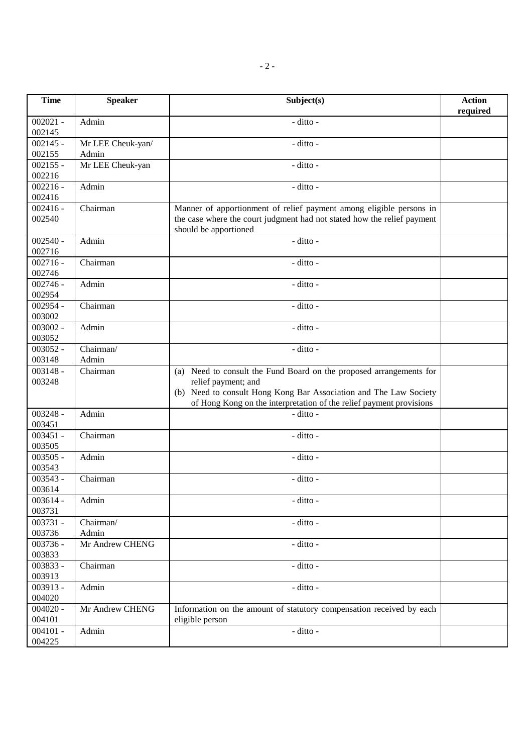| <b>Time</b>          | <b>Speaker</b>             | Subject(s)                                                                                                                                                                                                                             | <b>Action</b><br>required |
|----------------------|----------------------------|----------------------------------------------------------------------------------------------------------------------------------------------------------------------------------------------------------------------------------------|---------------------------|
| $002021 -$<br>002145 | Admin                      | - ditto -                                                                                                                                                                                                                              |                           |
| $002145 -$<br>002155 | Mr LEE Cheuk-yan/<br>Admin | - ditto -                                                                                                                                                                                                                              |                           |
| $002155 -$<br>002216 | Mr LEE Cheuk-yan           | - ditto -                                                                                                                                                                                                                              |                           |
| $002216 -$<br>002416 | Admin                      | - ditto -                                                                                                                                                                                                                              |                           |
| $002416 -$<br>002540 | Chairman                   | Manner of apportionment of relief payment among eligible persons in<br>the case where the court judgment had not stated how the relief payment<br>should be apportioned                                                                |                           |
| $002540 -$<br>002716 | Admin                      | - ditto -                                                                                                                                                                                                                              |                           |
| $002716 -$<br>002746 | Chairman                   | - ditto -                                                                                                                                                                                                                              |                           |
| $002746 -$<br>002954 | Admin                      | - ditto -                                                                                                                                                                                                                              |                           |
| $002954 -$<br>003002 | Chairman                   | - ditto -                                                                                                                                                                                                                              |                           |
| $003002 -$<br>003052 | Admin                      | - ditto -                                                                                                                                                                                                                              |                           |
| $003052 -$<br>003148 | Chairman/<br>Admin         | - ditto -                                                                                                                                                                                                                              |                           |
| $003148 -$<br>003248 | Chairman                   | (a) Need to consult the Fund Board on the proposed arrangements for<br>relief payment; and<br>(b) Need to consult Hong Kong Bar Association and The Law Society<br>of Hong Kong on the interpretation of the relief payment provisions |                           |
| $003248 -$<br>003451 | Admin                      | - ditto -                                                                                                                                                                                                                              |                           |
| $003451 -$<br>003505 | Chairman                   | - ditto -                                                                                                                                                                                                                              |                           |
| $003505 -$<br>003543 | Admin                      | - ditto -                                                                                                                                                                                                                              |                           |
| $003543 -$<br>003614 | Chairman                   | - ditto -                                                                                                                                                                                                                              |                           |
| $003614 -$<br>003731 | Admin                      | - ditto -                                                                                                                                                                                                                              |                           |
| $003731 -$<br>003736 | Chairman/<br>Admin         | - ditto -                                                                                                                                                                                                                              |                           |
| 003736 -<br>003833   | Mr Andrew CHENG            | - ditto -                                                                                                                                                                                                                              |                           |
| 003833 -<br>003913   | Chairman                   | - ditto -                                                                                                                                                                                                                              |                           |
| 003913 -<br>004020   | Admin                      | - ditto -                                                                                                                                                                                                                              |                           |
| $004020 -$<br>004101 | Mr Andrew CHENG            | Information on the amount of statutory compensation received by each<br>eligible person                                                                                                                                                |                           |
| $004101 -$<br>004225 | Admin                      | - ditto -                                                                                                                                                                                                                              |                           |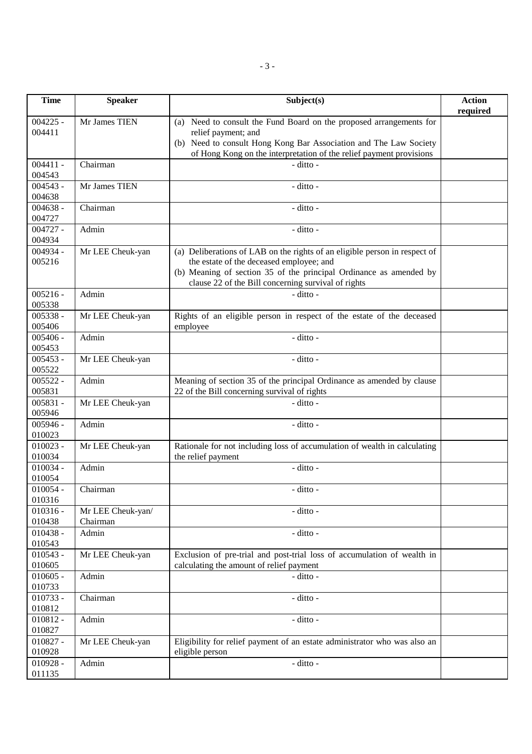| <b>Time</b>          | <b>Speaker</b>    | Subject(s)                                                                 | <b>Action</b><br>required |
|----------------------|-------------------|----------------------------------------------------------------------------|---------------------------|
| $004225 -$           | Mr James TIEN     | (a) Need to consult the Fund Board on the proposed arrangements for        |                           |
| 004411               |                   | relief payment; and                                                        |                           |
|                      |                   | (b) Need to consult Hong Kong Bar Association and The Law Society          |                           |
|                      |                   | of Hong Kong on the interpretation of the relief payment provisions        |                           |
| $004411 -$           | Chairman          | - ditto -                                                                  |                           |
| 004543               |                   |                                                                            |                           |
| $004543 -$           | Mr James TIEN     | - ditto -                                                                  |                           |
| 004638<br>$004638 -$ | Chairman          | - ditto -                                                                  |                           |
| 004727               |                   |                                                                            |                           |
| $004727 -$           | Admin             | - ditto -                                                                  |                           |
| 004934               |                   |                                                                            |                           |
| 004934 -             | Mr LEE Cheuk-yan  | (a) Deliberations of LAB on the rights of an eligible person in respect of |                           |
| 005216               |                   | the estate of the deceased employee; and                                   |                           |
|                      |                   | (b) Meaning of section 35 of the principal Ordinance as amended by         |                           |
|                      |                   | clause 22 of the Bill concerning survival of rights                        |                           |
| $005216 -$           | Admin             | - ditto -                                                                  |                           |
| 005338               |                   |                                                                            |                           |
| $005338 -$           | Mr LEE Cheuk-yan  | Rights of an eligible person in respect of the estate of the deceased      |                           |
| 005406               |                   | employee                                                                   |                           |
| $005406 -$           | Admin             | - ditto -                                                                  |                           |
| 005453<br>$005453 -$ |                   | - ditto -                                                                  |                           |
| 005522               | Mr LEE Cheuk-yan  |                                                                            |                           |
| $005522 -$           | Admin             | Meaning of section 35 of the principal Ordinance as amended by clause      |                           |
| 005831               |                   | 22 of the Bill concerning survival of rights                               |                           |
| $005831 -$           | Mr LEE Cheuk-yan  | - ditto -                                                                  |                           |
| 005946               |                   |                                                                            |                           |
| $005946 -$           | Admin             | - ditto -                                                                  |                           |
| 010023               |                   |                                                                            |                           |
| $010023 -$           | Mr LEE Cheuk-yan  | Rationale for not including loss of accumulation of wealth in calculating  |                           |
| 010034               |                   | the relief payment                                                         |                           |
| $010034 -$           | Admin             | - ditto -                                                                  |                           |
| 010054               | Chairman          |                                                                            |                           |
| $010054 -$<br>010316 |                   | - ditto -                                                                  |                           |
| $010316 -$           | Mr LEE Cheuk-yan/ | - ditto -                                                                  |                           |
| 010438               | Chairman          |                                                                            |                           |
| $010438 -$           | Admin             | - ditto -                                                                  |                           |
| 010543               |                   |                                                                            |                           |
| $010543 -$           | Mr LEE Cheuk-yan  | Exclusion of pre-trial and post-trial loss of accumulation of wealth in    |                           |
| 010605               |                   | calculating the amount of relief payment                                   |                           |
| $010605 -$           | Admin             | - ditto -                                                                  |                           |
| 010733               |                   |                                                                            |                           |
| $010733 -$           | Chairman          | - ditto -                                                                  |                           |
| 010812               |                   |                                                                            |                           |
| $010812 -$<br>010827 | Admin             | - ditto -                                                                  |                           |
| $010827 -$           | Mr LEE Cheuk-yan  | Eligibility for relief payment of an estate administrator who was also an  |                           |
| 010928               |                   | eligible person                                                            |                           |
| $010928 -$           | Admin             | - ditto -                                                                  |                           |
| 011135               |                   |                                                                            |                           |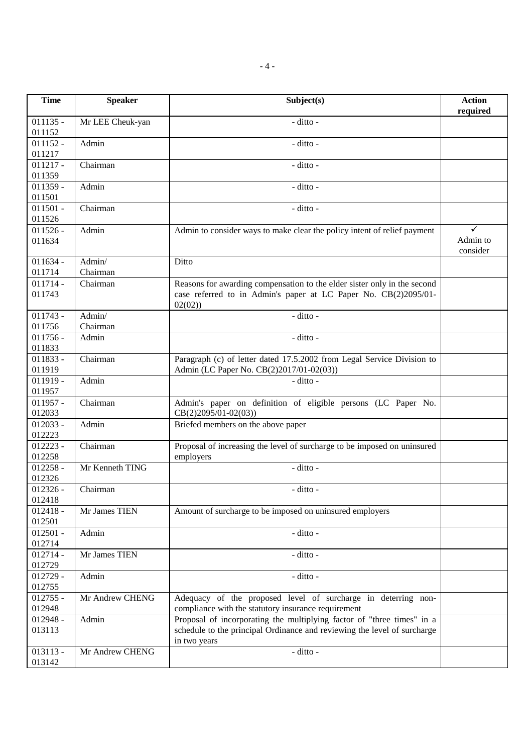| <b>Time</b>          | <b>Speaker</b>     | Subject(s)                                                                                                                                                         | <b>Action</b><br>required |
|----------------------|--------------------|--------------------------------------------------------------------------------------------------------------------------------------------------------------------|---------------------------|
| $011135 -$<br>011152 | Mr LEE Cheuk-yan   | - ditto -                                                                                                                                                          |                           |
| $011152 -$<br>011217 | Admin              | - ditto -                                                                                                                                                          |                           |
| $011217 -$<br>011359 | Chairman           | - ditto -                                                                                                                                                          |                           |
| $011359 -$<br>011501 | Admin              | - ditto -                                                                                                                                                          |                           |
| $011501 -$<br>011526 | Chairman           | - ditto -                                                                                                                                                          |                           |
| $011526 -$<br>011634 | Admin              | Admin to consider ways to make clear the policy intent of relief payment                                                                                           | ✓<br>Admin to<br>consider |
| $011634 -$<br>011714 | Admin/<br>Chairman | Ditto                                                                                                                                                              |                           |
| $011714 -$<br>011743 | Chairman           | Reasons for awarding compensation to the elder sister only in the second<br>case referred to in Admin's paper at LC Paper No. CB(2)2095/01-<br>02(02)              |                           |
| $011743 -$<br>011756 | Admin/<br>Chairman | - ditto -                                                                                                                                                          |                           |
| $011756 -$<br>011833 | Admin              | - ditto -                                                                                                                                                          |                           |
| $011833 -$<br>011919 | Chairman           | Paragraph (c) of letter dated 17.5.2002 from Legal Service Division to<br>Admin (LC Paper No. CB(2)2017/01-02(03))                                                 |                           |
| $011919 -$<br>011957 | Admin              | - ditto -                                                                                                                                                          |                           |
| $011957 -$<br>012033 | Chairman           | Admin's paper on definition of eligible persons (LC Paper No.<br>$CB(2)2095/01-02(03))$                                                                            |                           |
| $012033 -$<br>012223 | Admin              | Briefed members on the above paper                                                                                                                                 |                           |
| $012223 -$<br>012258 | Chairman           | Proposal of increasing the level of surcharge to be imposed on uninsured<br>employers                                                                              |                           |
| $012258 -$<br>012326 | Mr Kenneth TING    | $-$ ditto $-$                                                                                                                                                      |                           |
| $012326 -$<br>012418 | Chairman           | - ditto -                                                                                                                                                          |                           |
| $012418 -$<br>012501 | Mr James TIEN      | Amount of surcharge to be imposed on uninsured employers                                                                                                           |                           |
| $012501 -$<br>012714 | Admin              | - ditto -                                                                                                                                                          |                           |
| $012714 -$<br>012729 | Mr James TIEN      | - ditto -                                                                                                                                                          |                           |
| $012729 -$<br>012755 | Admin              | - ditto -                                                                                                                                                          |                           |
| $012755 -$<br>012948 | Mr Andrew CHENG    | Adequacy of the proposed level of surcharge in deterring non-<br>compliance with the statutory insurance requirement                                               |                           |
| $012948 -$<br>013113 | Admin              | Proposal of incorporating the multiplying factor of "three times" in a<br>schedule to the principal Ordinance and reviewing the level of surcharge<br>in two years |                           |
| $013113 -$<br>013142 | Mr Andrew CHENG    | - ditto -                                                                                                                                                          |                           |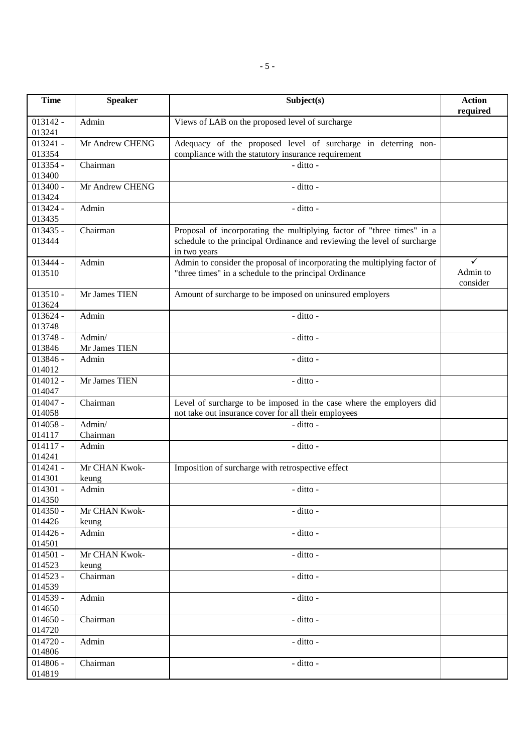| <b>Time</b>                    | <b>Speaker</b>          | Subject(s)                                                                                                                                                         | <b>Action</b><br>required |
|--------------------------------|-------------------------|--------------------------------------------------------------------------------------------------------------------------------------------------------------------|---------------------------|
| $013142 -$<br>013241           | Admin                   | Views of LAB on the proposed level of surcharge                                                                                                                    |                           |
| $013241 -$<br>013354           | Mr Andrew CHENG         | Adequacy of the proposed level of surcharge in deterring non-<br>compliance with the statutory insurance requirement                                               |                           |
| $013354 -$<br>013400           | Chairman                | - ditto -                                                                                                                                                          |                           |
| $013400 -$<br>013424           | Mr Andrew CHENG         | - ditto -                                                                                                                                                          |                           |
| $013424 -$<br>013435           | Admin                   | - ditto -                                                                                                                                                          |                           |
| $013435 -$<br>013444           | Chairman                | Proposal of incorporating the multiplying factor of "three times" in a<br>schedule to the principal Ordinance and reviewing the level of surcharge<br>in two years |                           |
| 013444 -<br>013510             | Admin                   | Admin to consider the proposal of incorporating the multiplying factor of<br>"three times" in a schedule to the principal Ordinance                                | ✓<br>Admin to<br>consider |
| $013510 -$<br>013624           | Mr James TIEN           | Amount of surcharge to be imposed on uninsured employers                                                                                                           |                           |
| $013624 -$<br>013748           | Admin                   | - ditto -                                                                                                                                                          |                           |
| $013748 -$<br>013846           | Admin/<br>Mr James TIEN | - ditto -                                                                                                                                                          |                           |
| $013846 -$<br>014012           | Admin                   | - ditto -                                                                                                                                                          |                           |
| $014012 -$<br>014047           | Mr James TIEN           | - ditto -                                                                                                                                                          |                           |
| $014047 -$<br>014058           | Chairman                | Level of surcharge to be imposed in the case where the employers did<br>not take out insurance cover for all their employees                                       |                           |
| $014058 -$<br>014117           | Admin/<br>Chairman      | $-$ ditto $-$                                                                                                                                                      |                           |
| $014117 -$<br>014241           | Admin                   | - ditto -                                                                                                                                                          |                           |
| $014241 -$<br>014301           | Mr CHAN Kwok-<br>keung  | Imposition of surcharge with retrospective effect                                                                                                                  |                           |
| $014301 -$<br>014350           | Admin                   | $-$ ditto $-$                                                                                                                                                      |                           |
| $014350 -$<br>014426           | Mr CHAN Kwok-           | - ditto -                                                                                                                                                          |                           |
| $014426 -$<br>014501           | keung<br>Admin          | - ditto -                                                                                                                                                          |                           |
| $014501 -$                     | Mr CHAN Kwok-           | - ditto -                                                                                                                                                          |                           |
| 014523<br>$014523 -$           | keung<br>Chairman       | - ditto -                                                                                                                                                          |                           |
| 014539<br>$014539 -$           | Admin                   | - ditto -                                                                                                                                                          |                           |
| 014650<br>$014650 -$           | Chairman                | - ditto -                                                                                                                                                          |                           |
| 014720<br>$014720 -$           | Admin                   | - ditto -                                                                                                                                                          |                           |
| 014806<br>$014806 -$<br>014819 | Chairman                | - ditto -                                                                                                                                                          |                           |